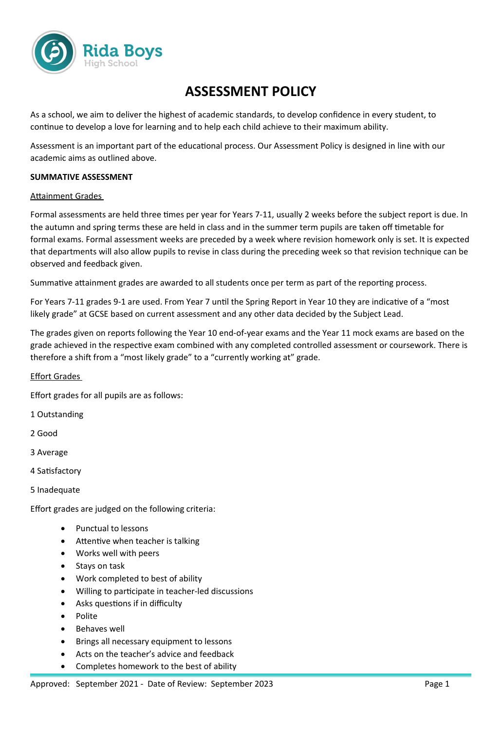

# **ASSESSMENT POLICY**

As a school, we aim to deliver the highest of academic standards, to develop confidence in every student, to continue to develop a love for learning and to help each child achieve to their maximum ability.

Assessment is an important part of the educational process. Our Assessment Policy is designed in line with our academic aims as outlined above.

#### **SUMMATIVE ASSESSMENT**

#### Attainment Grades

Formal assessments are held three times per year for Years 7-11, usually 2 weeks before the subject report is due. In the autumn and spring terms these are held in class and in the summer term pupils are taken off timetable for formal exams. Formal assessment weeks are preceded by a week where revision homework only is set. It is expected that departments will also allow pupils to revise in class during the preceding week so that revision technique can be observed and feedback given.

Summative attainment grades are awarded to all students once per term as part of the reporting process.

For Years 7-11 grades 9-1 are used. From Year 7 until the Spring Report in Year 10 they are indicative of a "most likely grade" at GCSE based on current assessment and any other data decided by the Subject Lead.

The grades given on reports following the Year 10 end-of-year exams and the Year 11 mock exams are based on the grade achieved in the respective exam combined with any completed controlled assessment or coursework. There is therefore a shift from a "most likely grade" to a "currently working at" grade.

#### Effort Grades

Effort grades for all pupils are as follows:

- 1 Outstanding
- 2 Good
- 3 Average
- 4 Satisfactory
- 5 Inadequate

Effort grades are judged on the following criteria:

- Punctual to lessons
- Attentive when teacher is talking
- Works well with peers
- Stays on task
- Work completed to best of ability
- Willing to participate in teacher-led discussions
- Asks questions if in difficulty
- Polite
- Behaves well
- Brings all necessary equipment to lessons
- Acts on the teacher's advice and feedback
- Completes homework to the best of ability